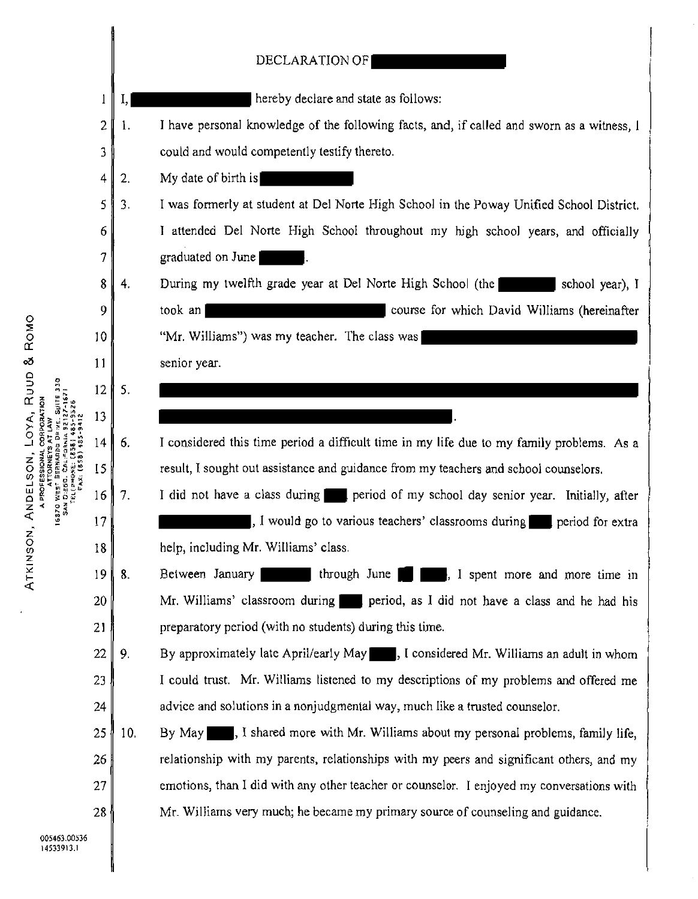

R<sub>OMO</sub>  $\infty$ **A PROFFSSIONAL** - ZO SO<br>20<br>2

 $A$ TK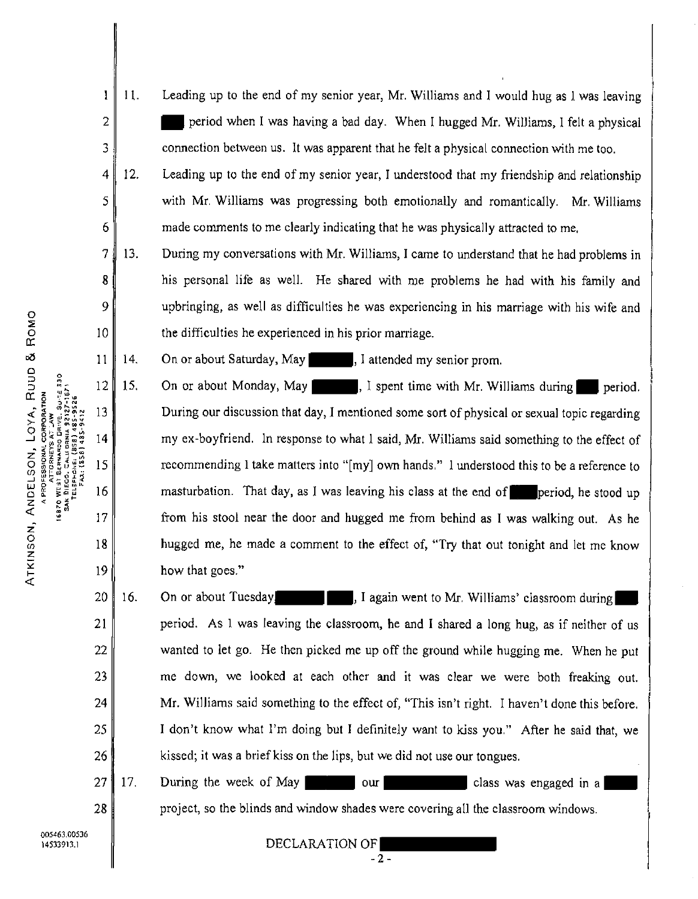- $\mathbf{I}$ I !. Leading up to the end of my senior year, Mr. Williams and I would hug as l was leaving 2 period when I was having a bad day. When I hugged Mr. Williams, l felt a physical 3 connection between us. It was apparent that he felt a physical connection with me too.
- 4 5 6 I 2. Leading up to the end of my senior year, I understood that my friendship and relationship with Mr. Williams was progressing both emotionally and romantically. Mr. Williams made comments to me clearly indicating that he was physically attracted to me,
	- 13. During my conversations with Mr. Williams, I came to understand that he had problems in his personal life as well. He shared with me problems he had with his family and upbringing, as well as difficulties he was experiencing in his marriage with his wife and the difficulties he experienced in his prior marriage.

14. On or about Saturday, May 1. I attended my senior prom.

- 15. On or about Monday, May , I spent time with Mr. Williams during period. During our discussion that day, I mentioned some sort of physical or sexual topic regarding my ex-boyfriend. In response to what l said, Mr. Williams said something to the effect of recommending 1 take matters into "[my] own hands." l understood this to be a reference to masturbation. That day, as I was leaving his class at the end of period, he stood up from his stool near the door and hugged me from behind as I was walking out. As he hugged me, he made a comment to the effect of, "Try that out tonight and let me know how that goes."
- 20 21 22 23 24 25 26 16. On or about Tuesday, **Example 2018**, I again went to Mr. Williams' classroom during period. As 1 was leaving the classroom, he and I shared a long hug, as if neither of us wanted to let go. He then picked me up off the ground while hugging me. When he put me down, we looked at each other and it was clear we were both freaking out. Mr. Williams said something to the effect of, "This isn't right. I haven't done this before. I don't know what I'm doing but I definitely want to kiss you." After he said that, we kissed; it was a brief kiss on the lips, but we did not use our tongues.
- 27 28 I 7. During the week of May  $\Box$  our  $\Box$  class was engaged in a project, so the blinds and window shades were covering all the classroom windows.

- 2 -

7

8

9

IO

I I

12

13

14

15

16

17

18

19

**005463.00536**  14533913.1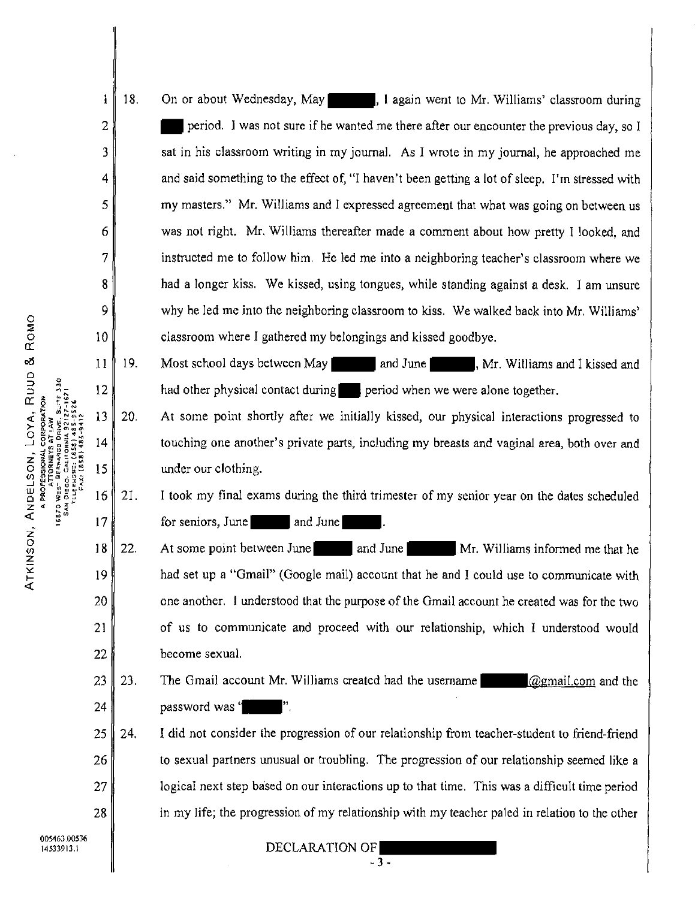- $\mathbf{1}$ 18. On or about Wednesday, May , **1** again went to Mr. Williams' classroom during 2 period. I was not sure if he wanted me there after our encounter the previous day, so I sat in his classroom writing in my journal. As I wrote in my journal, he approached me 3 4 and said something to the effect of, "I haven't been getting a lot of sleep. I'm stressed with my masters." Mr. Williams and I expressed agreement that what was going on between us 5 6 was not right. Mr. Williams thereafter made a comment about how pretty I looked, and 7 instructed me to follow him. He led me into a neighboring teacher's classroom where we had a longer kiss. We kissed, using tongues, while standing against a desk. I am unsure **8**  9 why he led me into the neighboring classroom to kiss. We walked back into Mr. Williams' 10 classroom where I gathered my belongings and kissed goodbye.  $11$  19. Most school days between May and June 1. Mr. Williams and I kissed and
	- 20. At some point shortly after we initially kissed, our physical interactions progressed to touching one another's private parts, including my breasts and vaginal area, both over and under our clothing.

had other physical contact during period when we were alone together.

16 21. I took my final exams during the third trimester of my senior year on the dates scheduled for seniors, June and June .

 $18 \parallel 22.$ At some point between June and June Mr. Williams informed me that he had set up a "Gmail" (Google mail) account that he and I could use to communicate with one another. I understood that the purpose of the Gmail account he created was for the two of us to communicate and proceed with our relationship, which I understood would become sexual.

 $23 \parallel 23$ . 24 The Gmail account Mr. Williams created had the usemame  $\alpha$   $\alpha$  gmail.com and the password was "

 $25$  | 24. 26 27 28 I did not consider the progression of our relationship from teacher-student to friend-friend to sexual partners unusual or troubling. The progression of our relationship seemed like a logical next step based on our interactions up to that time. This was a difficult time period in my life; the progression of my relationship with my teacher paled in relation to the other

- 3.

12

 $13$ 

 $14$ 

15

OBEC-

6870

17

19

20

21

22

"' ,\_ **<t'.** 

<u>ទ</u>

**005463.00536**  14533913.1

DECLARATION OF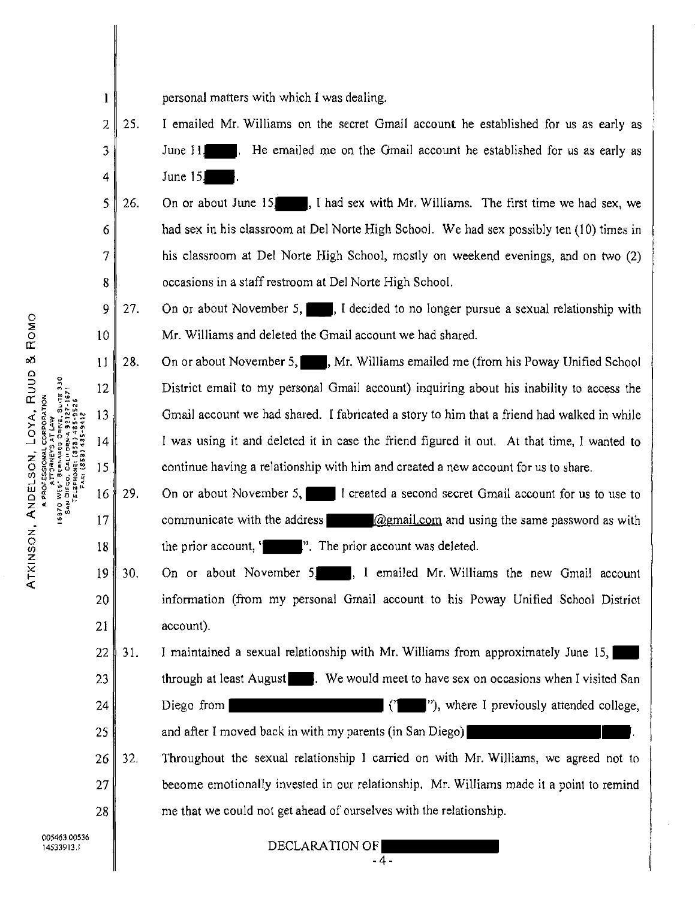- $\mathbf{l}$ personal matters with which 1 was dealing.
- 2 3 4 25. I emailed Mr. Williams on the secret Gmail account he established for us as early as June 11. . . He emailed me on the Gmail account he established for us as early as June 15.
- 5 6 7 8 26. On or about June 15, **i.e.**, I had sex with Mr. Williams. The first time we had sex, we had sex in his classroom at Del Norte High School. We had sex possibly ten (10) times in his classroom at Del Norte High School, mostly on weekend evenings, and on two (2) occasions in a staff restroom at Del Norte High School.
- 9 10 27. On or about November 5,  $\blacksquare$ , I decided to no longer pursue a sexual relationship with Mr. Williams and deleted the Gmail account we had shared.
- 11 12 13 14 15 28. On or about November 5, Mr. Williams emailed me (from his Poway Unified School District email to my personal Gmail account) inquiring about his inability to access the Gmail account we had shared. I fabricated a story to him that a friend had walked in while I was using it and deleted it in case the friend figured it out. At that time, I wanted to continue having a relationship with him and created a new account for us to share.
	- 29. On or about November 5, 1 created a second secret Gmail account for us to use to communicate with the address  $\omega$  (@gmail.com and using the same password as with the prior account, " ". The prior account was deleted.
- 19 20 21 30. On or about November 5, , I emailed Mr. Williams the new Gmail account information (from my personal Gmail account to his Poway Unified School District account).
- 22 23 24 31. 1 maintained a sexual relationship with Mr. Williams from approximately June 15, through at least August . We would meet to have sex on occasions when I visited San Diego from  $($ <sup>'</sup>  $)$ , where I previously attended college,
- 25 and after I moved back in with my parents (in San Diego)
- 26 27 28 32. Throughout the sexual relationship I carried on with Mr. Williams, we agreed not to become emotionally invested in our relationship. Mr. Williams made it a point to remind me that we could not get ahead of ourselves with the relationship.

. 4.

R<sub>OM</sub><sub>O</sub> oð. <u>ጋ</u> ፣ RUL<br>| 13<br>| 15, 15<br>| 16, 16  $\cdot$   $\frac{9}{5}$   $\frac{57}{52}$ **i i! i** !; **0• c**<br>**c c c** *c <b>PPOI<br>C C C i C <i>i c c <i>n* **<b>c** *i***</del> <b>***i i i i i i i i i i i i i i i i i i i i i i* '< **\_Ju.<(~** " < **UJ O** ~ **Ill** I~ **ANDE**<br>**A PRA A PRA 4 PRA 1987**<br>18870 WE<br>SAN DING 0 *(I)*  z

ATX

N

16

17

18

DECLARATION OF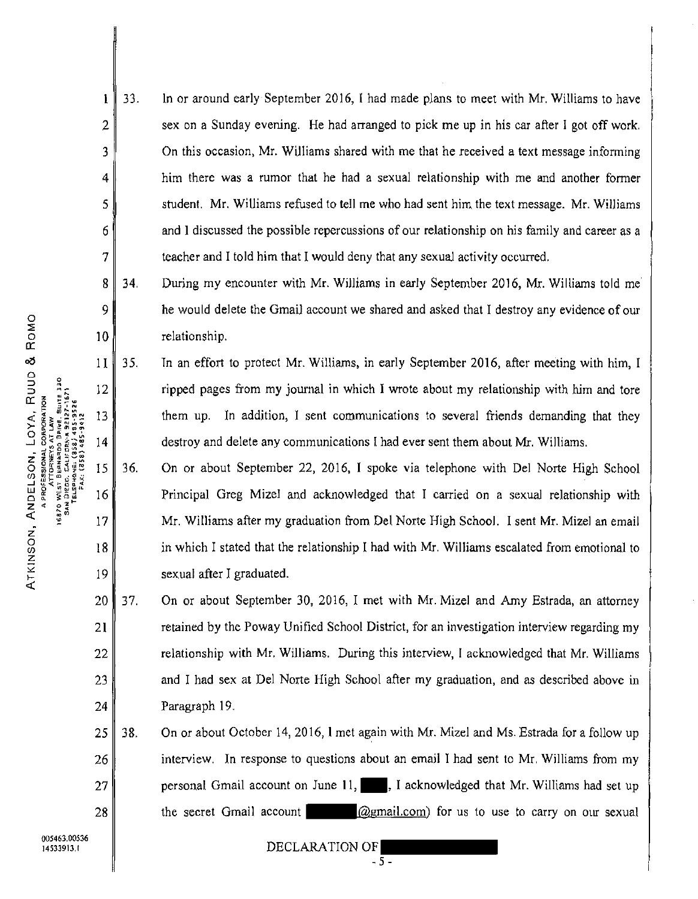$1 \mid 33.$ In or around early September 2016, I had made plans to meet with Mr. Williams to have sex on a Sunday evening. He had arranged to pick me up in his car after I got off work. On this occasion, Mr. Williams shared with me that he received a text message informing him there was a rumor that he had a sexual relationship with me and another former student. Mr. Williams refused to tell me who had sent him the text message. Mr. Williams and I discussed the possible repercussions of our relationship on his family and career as a teacher and I told him that I would deny that any sexual activity occurred.

 $8 \parallel 34.$ During my encounter with Mr. Williams in early September 2016, Mr. Williams told me he would delete the Gmail account we shared and asked that I destroy any evidence of our relationship.

 $11 \parallel 35.$ Tn an effort to protect Mr. Williams, in early September 2016, after meeting with him, I ripped pages from my journal in which I wrote about my relationship with him and tore them up. In addition, I sent communications to several friends demanding that they destroy and delete any communications I had ever sent them about Mr. Williams.

36. On or about September 22, 2016, I spoke via telephone with Del Norte High School Principal Greg Mize! and acknowledged that I carried on a sexual relationship with Mr. Williams after my graduation from Del Norte High School. I sent Mr. Mize! an email in which I stated that the relationship I had with Mr. Williams escalated from emotional to sexual after I graduated.

 $20$  | 37. 21 22 23 24 On or about September 30, 2016, I met with Mr. Mize! and Amy Estrada, an attorney retained by the Poway Unified School District, for an investigation interview regarding my relationship with Mr. Williams. During this interview, I acknowledged that Mr. Williams and I had sex at Del Norte High School after my graduation, and as described above in Paragraph 19.

 $25 \, | \, 38.$ 26 27 28 On or about October 14, 2016, I met again with Mr. Mize! and Ms. Estrada for a follow up interview. ln response to questions about an email I had sent to Mr. Williams from my personal Gmail account on June 11,  $\blacksquare$ , I acknowledged that Mr. Williams had set up the secret Gmail account  $(Qgmail.com)$  for us to use to carry on our sexual

Í

 $\frac{2}{3}$ 

2

3

4

5

6

7

9

10

 $12$ 

13

14

15

16

17

18

19

005463.00536 **]4533913.1** 

DECLARATION OF